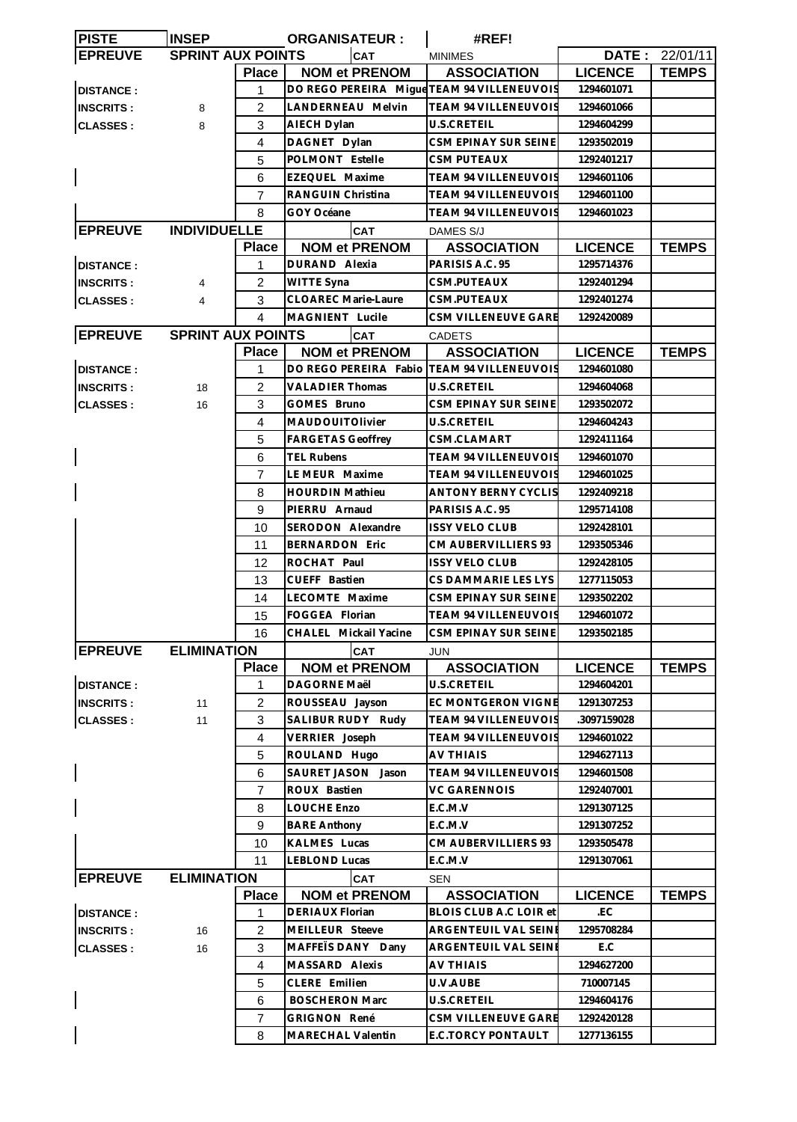| <b>PISTE</b>     | <b>INSEP</b>             |                | <b>ORGANISATEUR:</b>                       | #REF!                         |                |                |
|------------------|--------------------------|----------------|--------------------------------------------|-------------------------------|----------------|----------------|
| <b>EPREUVE</b>   | <b>SPRINT AUX POINTS</b> |                | <b>CAT</b>                                 | <b>MINIMES</b>                |                | DATE: 22/01/11 |
|                  |                          | <b>Place</b>   | <b>NOM et PRENOM</b>                       | <b>ASSOCIATION</b>            | <b>LICENCE</b> | <b>TEMPS</b>   |
| <b>DISTANCE:</b> |                          | 1              | DO REGO PEREIRA Migue TEAM 94 VILLENEUVOIS |                               | 1294601071     |                |
| <b>INSCRITS:</b> | 8                        | $\overline{2}$ | LANDERNEAU Melvin                          | <b>TEAM 94 VILLENEUVOIS</b>   | 1294601066     |                |
| <b>CLASSES:</b>  | 8                        | 3              | AIECH Dylan                                | U.S.CRETEIL                   | 1294604299     |                |
|                  |                          | 4              | DAGNET Dylan                               | CSM EPINAY SUR SEINE          | 1293502019     |                |
|                  |                          | 5              | POLMONT Estelle                            | CSM PUTEAUX                   | 1292401217     |                |
|                  |                          | 6              | EZEQUEL Maxime                             | TEAM 94 VILLENEUVOIS          | 1294601106     |                |
|                  |                          | 7              | RANGUIN Christina                          | <b>TEAM 94 VILLENEUVOIS</b>   | 1294601100     |                |
|                  |                          | 8              | GOY Océane                                 | TEAM 94 VILLENEUVOIS          | 1294601023     |                |
| <b>EPREUVE</b>   | <b>INDIVIDUELLE</b>      |                |                                            |                               |                |                |
|                  |                          |                | <b>CAT</b>                                 | DAMES S/J                     |                |                |
|                  |                          | <b>Place</b>   | <b>NOM et PRENOM</b>                       | <b>ASSOCIATION</b>            | <b>LICENCE</b> | <b>TEMPS</b>   |
| <b>DISTANCE:</b> |                          | 1              | DURAND Alexia                              | PARISIS A.C. 95               | 1295714376     |                |
| <b>INSCRITS:</b> | 4                        | $\overline{2}$ | WITTE Syna                                 | CSM.PUTEAUX                   | 1292401294     |                |
| <b>CLASSES:</b>  | 4                        | 3              | <b>CLOAREC Marie-Laure</b>                 | CSM.PUTEAUX                   | 1292401274     |                |
|                  |                          | 4              | MAGNIENT Lucile                            | CSM VILLENEUVE GARE           | 1292420089     |                |
| <b>EPREUVE</b>   | <b>SPRINT AUX POINTS</b> |                | <b>CAT</b>                                 | <b>CADETS</b>                 |                |                |
|                  |                          | <b>Place</b>   | <b>NOM et PRENOM</b>                       | <b>ASSOCIATION</b>            | <b>LICENCE</b> | <b>TEMPS</b>   |
| <b>DISTANCE:</b> |                          | 1              | DO REGO PEREIRA Fabio                      | <b>TEAM 94 VILLENEUVOIS</b>   | 1294601080     |                |
| <b>INSCRITS:</b> | 18                       | 2              | <b>VALADIER Thomas</b>                     | U.S.CRETEIL                   | 1294604068     |                |
| <b>CLASSES:</b>  | 16                       | 3              | GOMES Bruno                                | <b>CSM EPINAY SUR SEINE</b>   | 1293502072     |                |
|                  |                          | 4              | MAUDOUITOlivier                            | U.S.CRETEIL                   | 1294604243     |                |
|                  |                          | 5              | <b>FARGETAS Geoffrey</b>                   | CSM.CLAMART                   | 1292411164     |                |
|                  |                          | 6              | <b>TEL Rubens</b>                          | TEAM 94 VILLENEUVOIS          | 1294601070     |                |
|                  |                          | 7              | LE MEUR Maxime                             | <b>TEAM 94 VILLENEUVOIS</b>   | 1294601025     |                |
|                  |                          | 8              | <b>HOURDIN Mathieu</b>                     | ANTONY BERNY CYCLIS           | 1292409218     |                |
|                  |                          | 9              | PIERRU Arnaud                              | PARISIS A.C. 95               | 1295714108     |                |
|                  |                          | 10             | SERODON Alexandre                          | <b>ISSY VELO CLUB</b>         | 1292428101     |                |
|                  |                          | 11             | <b>BERNARDON Eric</b>                      | CM AUBERVILLIERS 93           | 1293505346     |                |
|                  |                          | 12             | ROCHAT Paul                                | <b>ISSY VELO CLUB</b>         | 1292428105     |                |
|                  |                          | 13             | CUEFF Bastien                              | CS DAMMARIE LES LYS           | 1277115053     |                |
|                  |                          | 14             | LECOMTE Maxime                             | CSM EPINAY SUR SEINE          | 1293502202     |                |
|                  |                          | 15             | FOGGEA Florian                             | TEAM 94 VILLENEUVOIS          | 1294601072     |                |
|                  |                          | 16             | CHALEL Mickail Yacine                      | CSM EPINAY SUR SEINE          | 1293502185     |                |
| <b>EPREUVE</b>   | <b>ELIMINATION</b>       |                | <b>CAT</b>                                 | JUN                           |                |                |
|                  |                          | <b>Place</b>   | <b>NOM et PRENOM</b>                       | <b>ASSOCIATION</b>            | <b>LICENCE</b> | <b>TEMPS</b>   |
| <b>DISTANCE:</b> |                          | 1              | DAGORNE Maël                               | U.S.CRETEIL                   | 1294604201     |                |
| <b>INSCRITS:</b> | 11                       | $\overline{c}$ | ROUSSEAU Jayson                            | EC MONTGERON VIGNE            | 1291307253     |                |
|                  | 11                       | 3              | SALIBUR RUDY Rudy                          | <b>TEAM 94 VILLENEUVOIS</b>   | .3097159028    |                |
| <b>CLASSES:</b>  |                          | $\overline{4}$ | VERRIER Joseph                             | TEAM 94 VILLENEUVOIS          | 1294601022     |                |
|                  |                          |                |                                            |                               |                |                |
|                  |                          | 5              | ROULAND Hugo                               | AV THIAIS                     | 1294627113     |                |
|                  |                          | 6              | SAURET JASON Jason                         | <b>TEAM 94 VILLENEUVOIS</b>   | 1294601508     |                |
|                  |                          | 7              | ROUX Bastien                               | VC GARENNOIS                  | 1292407001     |                |
|                  |                          | 8              | <b>LOUCHE Enzo</b>                         | E.C.M.V                       | 1291307125     |                |
|                  |                          | 9              | <b>BARE Anthony</b>                        | $E.C.M.V$                     | 1291307252     |                |
|                  |                          | 10             | KALMES Lucas                               | CM AUBERVILLIERS 93           | 1293505478     |                |
|                  |                          | 11             | <b>LEBLOND Lucas</b>                       | E.C.M.V                       | 1291307061     |                |
| <b>EPREUVE</b>   | <b>ELIMINATION</b>       |                | <b>CAT</b>                                 | <b>SEN</b>                    |                |                |
|                  |                          | <b>Place</b>   | <b>NOM et PRENOM</b>                       | <b>ASSOCIATION</b>            | <b>LICENCE</b> | <b>TEMPS</b>   |
| <b>DISTANCE:</b> |                          | 1              | <b>DERIAUX Florian</b>                     | <b>BLOIS CLUB A.C LOIR et</b> | .EC            |                |
| <b>INSCRITS:</b> | 16                       | $\overline{2}$ | MEILLEUR Steeve                            | ARGENTEUIL VAL SEINI          | 1295708284     |                |
| <b>CLASSES:</b>  | 16                       | 3              | MAFFETS DANY Dany                          | ARGENTEUIL VAL SEINI          | E.C            |                |
|                  |                          | 4              | MASSARD Alexis                             | AV THIAIS                     | 1294627200     |                |
|                  |                          | 5              | CLERE Emilien                              | U.V.AUBE                      | 710007145      |                |
|                  |                          | 6              | <b>BOSCHERON Marc</b>                      | U.S.CRETEIL                   | 1294604176     |                |
|                  |                          | 7              | <b>GRIGNON René</b>                        | CSM VILLENEUVE GARE           | 1292420128     |                |
|                  |                          | 8              | MARECHAL Valentin                          | E.C.TORCY PONTAULT            | 1277136155     |                |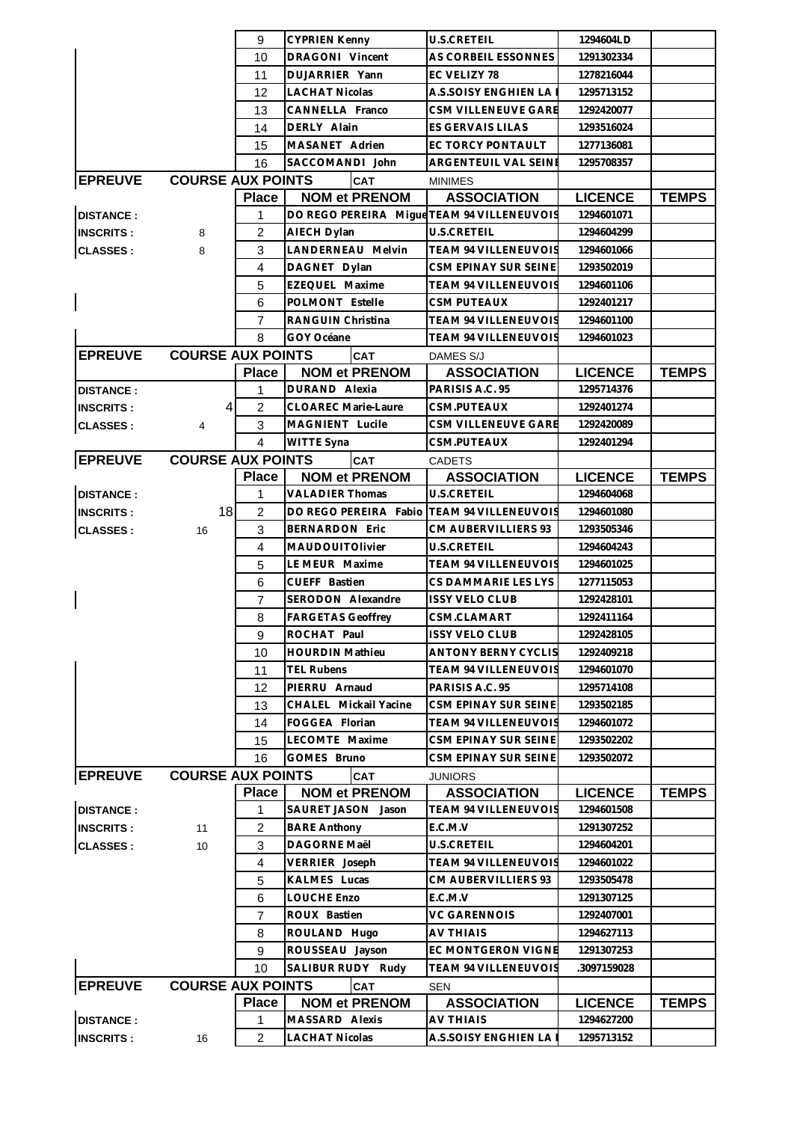|                  |                          | 9              | <b>CYPRIEN Kenny</b>                       | <b>U.S.CRETEIL</b>                       | 1294604LD                    |              |
|------------------|--------------------------|----------------|--------------------------------------------|------------------------------------------|------------------------------|--------------|
|                  |                          | 10             | DRAGONI Vincent                            | AS CORBEIL ESSONNES                      | 1291302334                   |              |
|                  |                          | 11             | DUJARRIER Yann                             | EC VELIZY 78                             | 1278216044                   |              |
|                  |                          | 12             | <b>LACHAT Nicolas</b>                      | A.S.SOISY ENGHIEN LAI                    | 1295713152                   |              |
|                  |                          | 13             | CANNELLA Franco                            | CSM VILLENEUVE GARE                      | 1292420077                   |              |
|                  |                          | 14             | DERLY Alain                                | <b>ES GERVAIS LILAS</b>                  | 1293516024                   |              |
|                  |                          | 15             | MASANET Adrien                             | EC TORCY PONTAULT                        | 1277136081                   |              |
|                  |                          | 16             | SACCOMANDI John                            | <b>ARGENTEUIL VAL SEINE</b>              | 1295708357                   |              |
| <b>EPREUVE</b>   | <b>COURSE AUX POINTS</b> |                | <b>CAT</b>                                 | <b>MINIMES</b>                           |                              |              |
|                  |                          | <b>Place</b>   | <b>NOM et PRENOM</b>                       | <b>ASSOCIATION</b>                       | <b>LICENCE</b>               | <b>TEMPS</b> |
| <b>DISTANCE:</b> |                          | 1              | DO REGO PEREIRA Migue TEAM 94 VILLENEUVOIS |                                          | 1294601071                   |              |
| <b>INSCRITS:</b> | 8                        | $\overline{2}$ | AIECH Dylan                                | <b>U.S.CRETEIL</b>                       | 1294604299                   |              |
| <b>CLASSES:</b>  | 8                        | 3              | LANDERNEAU Melvin                          | TEAM 94 VILLENEUVOIS                     | 1294601066                   |              |
|                  |                          | $\overline{4}$ | DAGNET Dylan                               | CSM EPINAY SUR SEINE                     | 1293502019                   |              |
|                  |                          | 5              | EZEQUEL Maxime                             | TEAM 94 VILLENEUVOIS                     | 1294601106                   |              |
|                  |                          | 6              | POLMONT Estelle                            | <b>CSM PUTEAUX</b>                       | 1292401217                   |              |
|                  |                          | 7              | RANGUIN Christina                          | TEAM 94 VILLENEUVOIS                     | 1294601100                   |              |
|                  |                          | 8              | GOY Océane                                 | <b>TEAM 94 VILLENEUVOIS</b>              | 1294601023                   |              |
| <b>EPREUVE</b>   | <b>COURSE AUX POINTS</b> |                | <b>CAT</b>                                 | DAMES S/J                                |                              |              |
|                  |                          | <b>Place</b>   | <b>NOM et PRENOM</b>                       | <b>ASSOCIATION</b>                       | <b>LICENCE</b>               | <b>TEMPS</b> |
| <b>DISTANCE:</b> |                          | 1              | DURAND Alexia                              | PARISIS A.C. 95                          | 1295714376                   |              |
| <b>INSCRITS:</b> | $\overline{4}$           | $\overline{2}$ | <b>CLOAREC Marie-Laure</b>                 | CSM.PUTEAUX                              | 1292401274                   |              |
|                  |                          | 3              | MAGNIENT Lucile                            | CSM VILLENEUVE GARE                      | 1292420089                   |              |
| <b>CLASSES:</b>  | 4                        | 4              |                                            | CSM.PUTEAUX                              |                              |              |
|                  | <b>COURSE AUX POINTS</b> |                | WITTE Syna                                 |                                          | 1292401294                   |              |
| <b>EPREUVE</b>   |                          | <b>Place</b>   | <b>CAT</b><br><b>NOM et PRENOM</b>         | <b>CADETS</b>                            |                              |              |
| <b>DISTANCE:</b> |                          | 1              | <b>VALADIER Thomas</b>                     | <b>ASSOCIATION</b><br><b>U.S.CRETEIL</b> | <b>LICENCE</b><br>1294604068 | <b>TEMPS</b> |
|                  | 18                       | $\overline{2}$ | DO REGO PEREIRA Fabio                      | <b>TEAM 94 VILLENEUVOIS</b>              | 1294601080                   |              |
| <b>INSCRITS:</b> |                          |                |                                            | CM AUBERVILLIERS 93                      |                              |              |
| <b>CLASSES:</b>  | 16                       | 3              | <b>BERNARDON Eric</b>                      |                                          | 1293505346                   |              |
|                  |                          | 4              | MAUDOUITOlivier                            | U.S.CRETEIL                              | 1294604243                   |              |
|                  |                          | 5              | LE MEUR Maxime<br>CUEFF Bastien            | TEAM 94 VILLENEUVOIS                     | 1294601025                   |              |
|                  |                          | 6              | SERODON Alexandre                          | CS DAMMARIE LES LYS                      | 1277115053                   |              |
|                  |                          | $\overline{7}$ |                                            | <b>ISSY VELO CLUB</b>                    | 1292428101                   |              |
|                  |                          | 8              | <b>FARGETAS Geoffrey</b>                   | CSM.CLAMART                              | 1292411164                   |              |
|                  |                          | 9              | ROCHAT Paul                                | <b>ISSY VELO CLUB</b>                    | 1292428105                   |              |
|                  |                          | 10             | <b>HOURDIN Mathieu</b>                     | <b>ANTONY BERNY CYCLIS</b>               | 1292409218                   |              |
|                  |                          | 11             | <b>TEL Rubens</b>                          | TEAM 94 VILLENEUVOIS                     | 1294601070                   |              |
|                  |                          | 12             | PIERRU Arnaud                              | PARISIS A.C. 95                          | 1295714108                   |              |
|                  |                          | 13             | CHALEL Mickail Yacine                      | CSM EPINAY SUR SEINE                     | 1293502185                   |              |
|                  |                          | 14             | FOGGEA Florian                             | <b>TEAM 94 VILLENEUVOIS</b>              | 1294601072                   |              |
|                  |                          | 15             | LECOMTE Maxime                             | CSM EPINAY SUR SEINE                     | 1293502202                   |              |
|                  |                          | 16             | GOMES Bruno                                | CSM EPINAY SUR SEINE                     | 1293502072                   |              |
| <b>EPREUVE</b>   | <b>COURSE AUX POINTS</b> |                | <b>CAT</b>                                 | <b>JUNIORS</b>                           |                              |              |
|                  |                          | <b>Place</b>   | <b>NOM et PRENOM</b>                       | <b>ASSOCIATION</b>                       | <b>LICENCE</b>               | <b>TEMPS</b> |
| <b>DISTANCE:</b> |                          | 1              | SAURET JASON Jason                         | TEAM 94 VILLENEUVOIS                     | 1294601508                   |              |
| <b>INSCRITS:</b> | 11                       | $\overline{c}$ | <b>BARE Anthony</b>                        | E.C.M.V                                  | 1291307252                   |              |
| <b>CLASSES:</b>  | 10                       | 3              | DAGORNE Maël                               | U.S.CRETEIL                              | 1294604201                   |              |
|                  |                          | 4              | VERRIER Joseph                             | TEAM 94 VILLENEUVOIS                     | 1294601022                   |              |
|                  |                          | 5              | <b>KALMES Lucas</b>                        | CM AUBERVILLIERS 93                      | 1293505478                   |              |
|                  |                          | 6              | LOUCHE Enzo                                | E.C.M.V                                  | 1291307125                   |              |
|                  |                          | 7              | ROUX Bastien                               | <b>VC GARENNOIS</b>                      | 1292407001                   |              |
|                  |                          | 8              | ROULAND Hugo                               | AV THIAIS                                | 1294627113                   |              |
|                  |                          | 9              | ROUSSEAU Jayson                            | EC MONTGERON VIGNE                       | 1291307253                   |              |
|                  |                          | 10             | SALIBUR RUDY Rudy                          | TEAM 94 VILLENEUVOIS                     | .3097159028                  |              |
| <b>EPREUVE</b>   | <b>COURSE AUX POINTS</b> |                | <b>CAT</b>                                 | SEN                                      |                              |              |
|                  |                          | <b>Place</b>   | <b>NOM et PRENOM</b>                       | <b>ASSOCIATION</b>                       | <b>LICENCE</b>               | <b>TEMPS</b> |
| <b>DISTANCE:</b> |                          | 1              | MASSARD Alexis                             | <b>AV THIAIS</b>                         | 1294627200                   |              |
| <b>INSCRITS:</b> | 16                       | $\overline{c}$ | <b>LACHAT Nicolas</b>                      | A.S.SOISY ENGHIEN LA                     | 1295713152                   |              |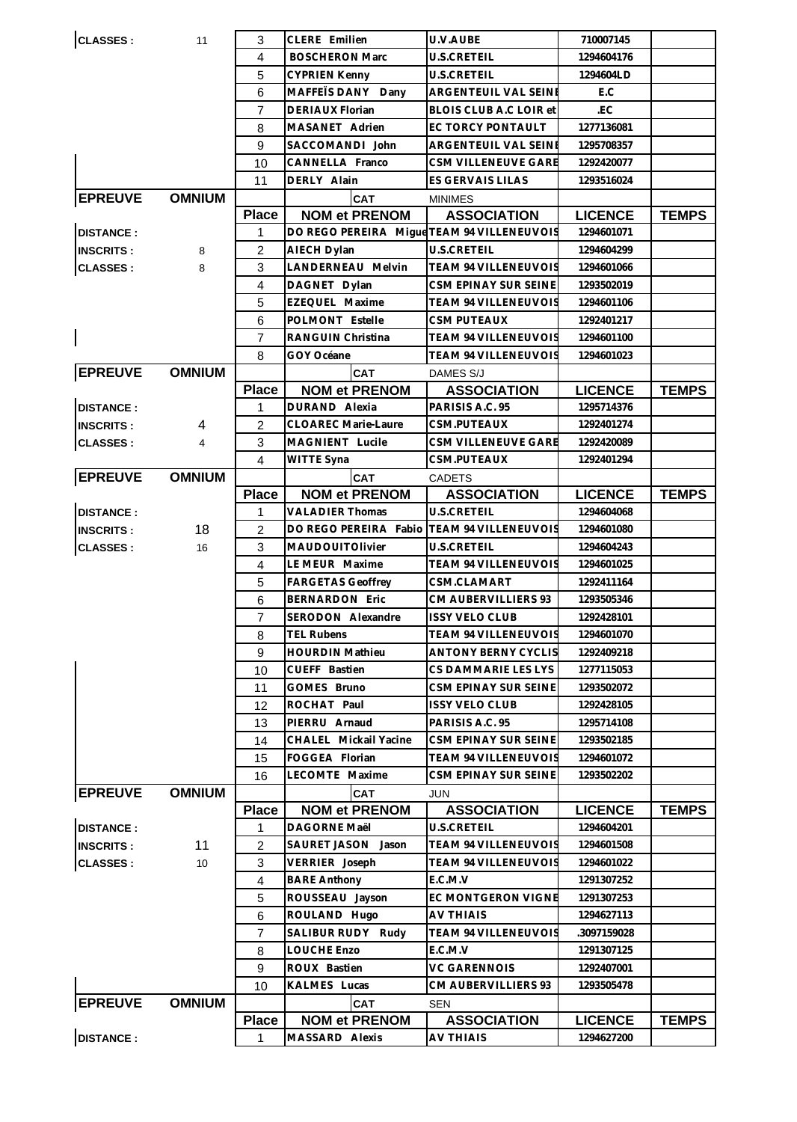| <b>CLASSES:</b>  | 11            | 3              | CLERE Emilien                              | U.V.AUBE                    | 710007145      |              |
|------------------|---------------|----------------|--------------------------------------------|-----------------------------|----------------|--------------|
|                  |               | 4              | <b>BOSCHERON Marc</b>                      | <b>U.S.CRETEIL</b>          | 1294604176     |              |
|                  |               | 5              | <b>CYPRIEN Kenny</b>                       | U.S.CRETEIL                 | 1294604LD      |              |
|                  |               | 6              | MAFFETS DANY Dany                          | ARGENTEUIL VAL SEINE        | E.C            |              |
|                  |               | $\overline{7}$ | <b>DERIAUX Florian</b>                     | BLOIS CLUB A.C LOIR et      | .EC            |              |
|                  |               | 8              | MASANET Adrien                             | EC TORCY PONTAULT           | 1277136081     |              |
|                  |               | 9              | SACCOMANDI John                            | ARGENTEUIL VAL SEINE        | 1295708357     |              |
|                  |               | 10             | CANNELLA Franco                            | CSM VILLENEUVE GARE         | 1292420077     |              |
|                  |               | 11             | DERLY Alain                                | ES GERVAIS LILAS            | 1293516024     |              |
| <b>EPREUVE</b>   | <b>OMNIUM</b> |                | <b>CAT</b>                                 | <b>MINIMES</b>              |                |              |
|                  |               | <b>Place</b>   | <b>NOM et PRENOM</b>                       | <b>ASSOCIATION</b>          | <b>LICENCE</b> | <b>TEMPS</b> |
| <b>DISTANCE:</b> |               | 1              | DO REGO PEREIRA Migue TEAM 94 VILLENEUVOIS |                             | 1294601071     |              |
| <b>INSCRITS:</b> | 8             | $\overline{c}$ | AIECH Dylan                                | U.S.CRETEIL                 | 1294604299     |              |
| <b>CLASSES:</b>  | 8             | 3              | LANDERNEAU Melvin                          | TEAM 94 VILLENEUVOIS        | 1294601066     |              |
|                  |               | $\overline{4}$ | DAGNET Dylan                               | CSM EPINAY SUR SEINE        | 1293502019     |              |
|                  |               | 5              | EZEQUEL Maxime                             | TEAM 94 VILLENEUVOIS        | 1294601106     |              |
|                  |               | 6              | POLMONT Estelle                            | <b>CSM PUTEAUX</b>          | 1292401217     |              |
|                  |               | 7              | RANGUIN Christina                          | <b>TEAM 94 VILLENEUVOIS</b> | 1294601100     |              |
|                  |               | 8              | GOY Océane                                 | TEAM 94 VILLENEUVOIS        | 1294601023     |              |
| <b>EPREUVE</b>   | <b>OMNIUM</b> |                | <b>CAT</b>                                 | DAMES S/J                   |                |              |
|                  |               | <b>Place</b>   | <b>NOM et PRENOM</b>                       | <b>ASSOCIATION</b>          | <b>LICENCE</b> | <b>TEMPS</b> |
| <b>DISTANCE:</b> |               | 1              | DURAND Alexia                              | PARISIS A.C. 95             | 1295714376     |              |
| <b>INSCRITS:</b> | 4             | 2              | <b>CLOAREC Marie-Laure</b>                 | CSM.PUTEAUX                 | 1292401274     |              |
| <b>CLASSES:</b>  | 4             | 3              | MAGNIENT Lucile                            | CSM VILLENEUVE GARE         | 1292420089     |              |
|                  |               | $\overline{4}$ | WITTE Syna                                 | CSM.PUTEAUX                 | 1292401294     |              |
| <b>EPREUVE</b>   | <b>OMNIUM</b> |                | <b>CAT</b>                                 | <b>CADETS</b>               |                |              |
|                  |               | <b>Place</b>   | <b>NOM et PRENOM</b>                       | <b>ASSOCIATION</b>          | <b>LICENCE</b> | <b>TEMPS</b> |
| <b>DISTANCE:</b> |               | 1              | <b>VALADIER Thomas</b>                     | <b>U.S.CRETEIL</b>          | 1294604068     |              |
| <b>INSCRITS:</b> | 18            | 2              | DO REGO PEREIRA Fabio                      | <b>TEAM 94 VILLENEUVOIS</b> | 1294601080     |              |
| <b>CLASSES:</b>  | 16            | 3              | <b>MAUDOUITOlivier</b>                     | U.S.CRETEIL                 | 1294604243     |              |
|                  |               | $\overline{4}$ | LE MEUR Maxime                             | TEAM 94 VILLENEUVOIS        | 1294601025     |              |
|                  |               | 5              | <b>FARGETAS Geoffrey</b>                   | CSM.CLAMART                 | 1292411164     |              |
|                  |               | 6              | <b>BERNARDON Eric</b>                      | CM AUBERVILLIERS 93         | 1293505346     |              |
|                  |               | $\overline{7}$ | SERODON Alexandre                          | <b>ISSY VELO CLUB</b>       | 1292428101     |              |
|                  |               | 8              | <b>TEL Rubens</b>                          | TEAM 94 VILLENEUVOIS        | 1294601070     |              |
|                  |               | 9              | <b>HOURDIN Mathieu</b>                     | <b>ANTONY BERNY CYCLIS</b>  | 1292409218     |              |
|                  |               | 10             | CUEFF Bastien                              | CS DAMMARIE LES LYS         | 1277115053     |              |
|                  |               | 11             | GOMES Bruno                                | CSM EPINAY SUR SEINE        | 1293502072     |              |
|                  |               | 12             | ROCHAT Paul                                | <b>ISSY VELO CLUB</b>       | 1292428105     |              |
|                  |               | 13             | PIERRU Arnaud                              | PARISIS A.C. 95             | 1295714108     |              |
|                  |               | 14             | CHALEL Mickail Yacine                      | CSM EPINAY SUR SEINE        | 1293502185     |              |
|                  |               | 15             | FOGGEA Florian                             | TEAM 94 VILLENEUVOIS        | 1294601072     |              |
|                  |               | 16             | LECOMTE Maxime                             | CSM EPINAY SUR SEINE        | 1293502202     |              |
| <b>EPREUVE</b>   | <b>OMNIUM</b> |                | <b>CAT</b>                                 | JUN                         |                |              |
|                  |               | <b>Place</b>   | <b>NOM et PRENOM</b>                       | <b>ASSOCIATION</b>          | <b>LICENCE</b> | <b>TEMPS</b> |
| <b>DISTANCE:</b> |               | 1              | DAGORNE Maël                               | <b>U.S.CRETEIL</b>          | 1294604201     |              |
| <b>INSCRITS:</b> | 11            | $\overline{2}$ | SAURET JASON Jason                         | TEAM 94 VILLENEUVOIS        | 1294601508     |              |
| <b>CLASSES:</b>  | 10            | 3              | VERRIER Joseph                             | TEAM 94 VILLENEUVOIS        | 1294601022     |              |
|                  |               | $\overline{4}$ | <b>BARE Anthony</b>                        | E.C.M.V                     | 1291307252     |              |
|                  |               | 5              | ROUSSEAU Jayson                            | EC MONTGERON VIGNE          | 1291307253     |              |
|                  |               | 6              | ROULAND Hugo                               | AV THIAIS                   | 1294627113     |              |
|                  |               | $\overline{7}$ | SALIBUR RUDY Rudy                          | TEAM 94 VILLENEUVOIS        | .3097159028    |              |
|                  |               | 8              | LOUCHE Enzo                                | E.C.M.V                     | 1291307125     |              |
|                  |               | 9              | ROUX Bastien                               | <b>VC GARENNOIS</b>         | 1292407001     |              |
|                  |               | 10             | KALMES Lucas                               | CM AUBERVILLIERS 93         | 1293505478     |              |
| <b>EPREUVE</b>   | <b>OMNIUM</b> |                | <b>CAT</b>                                 | <b>SEN</b>                  |                |              |
|                  |               | <b>Place</b>   | <b>NOM et PRENOM</b>                       | <b>ASSOCIATION</b>          | <b>LICENCE</b> | <b>TEMPS</b> |
| <b>DISTANCE:</b> |               | 1              | MASSARD Alexis                             | <b>AV THIAIS</b>            | 1294627200     |              |
|                  |               |                |                                            |                             |                |              |